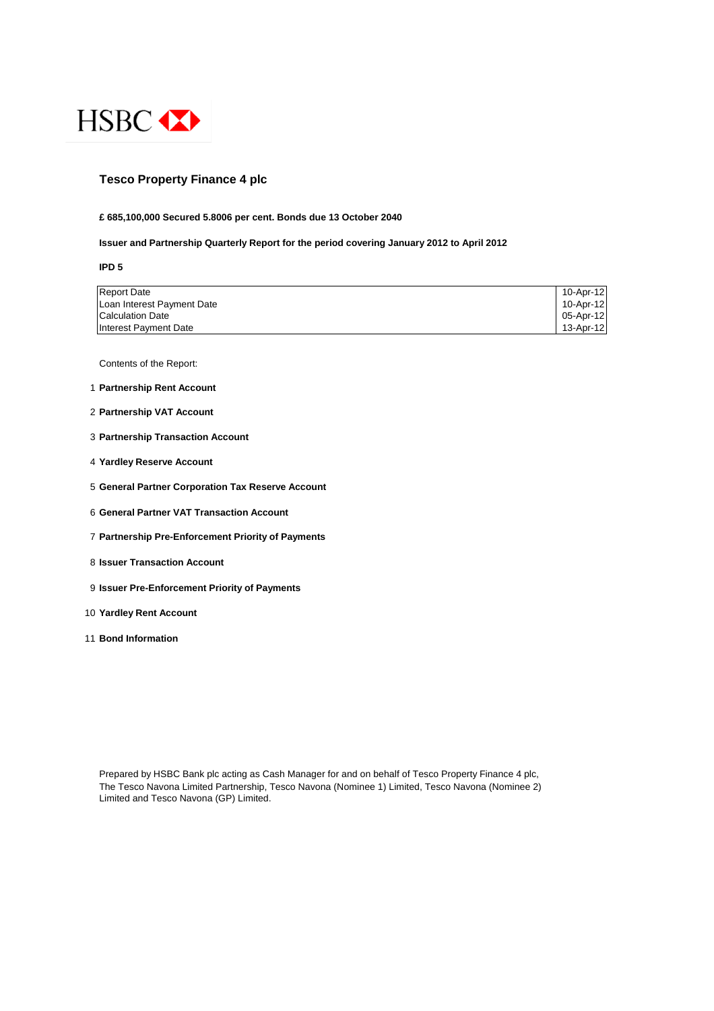

#### **Tesco Property Finance 4 plc**

#### **£ 685,100,000 Secured 5.8006 per cent. Bonds due 13 October 2040**

#### **Issuer and Partnership Quarterly Report for the period covering January 2012 to April 2012**

**IPD 5**

| <b>Report Date</b>         | 10-Apr-12 |
|----------------------------|-----------|
| Loan Interest Payment Date | 10-Apr-12 |
| <b>Calculation Date</b>    | 05-Apr-12 |
| Interest Payment Date      | 13-Apr-12 |

Contents of the Report:

- 1 **Partnership Rent Account**
- 2 **Partnership VAT Account**
- 3 **Partnership Transaction Account**
- 4 **Yardley Reserve Account**
- 5 **General Partner Corporation Tax Reserve Account**
- 6 **General Partner VAT Transaction Account**
- 7 **Partnership Pre-Enforcement Priority of Payments**
- 8 **Issuer Transaction Account**
- 9 **Issuer Pre-Enforcement Priority of Payments**
- 10 **Yardley Rent Account**
- 11 **Bond Information**

Prepared by HSBC Bank plc acting as Cash Manager for and on behalf of Tesco Property Finance 4 plc, The Tesco Navona Limited Partnership, Tesco Navona (Nominee 1) Limited, Tesco Navona (Nominee 2) Limited and Tesco Navona (GP) Limited.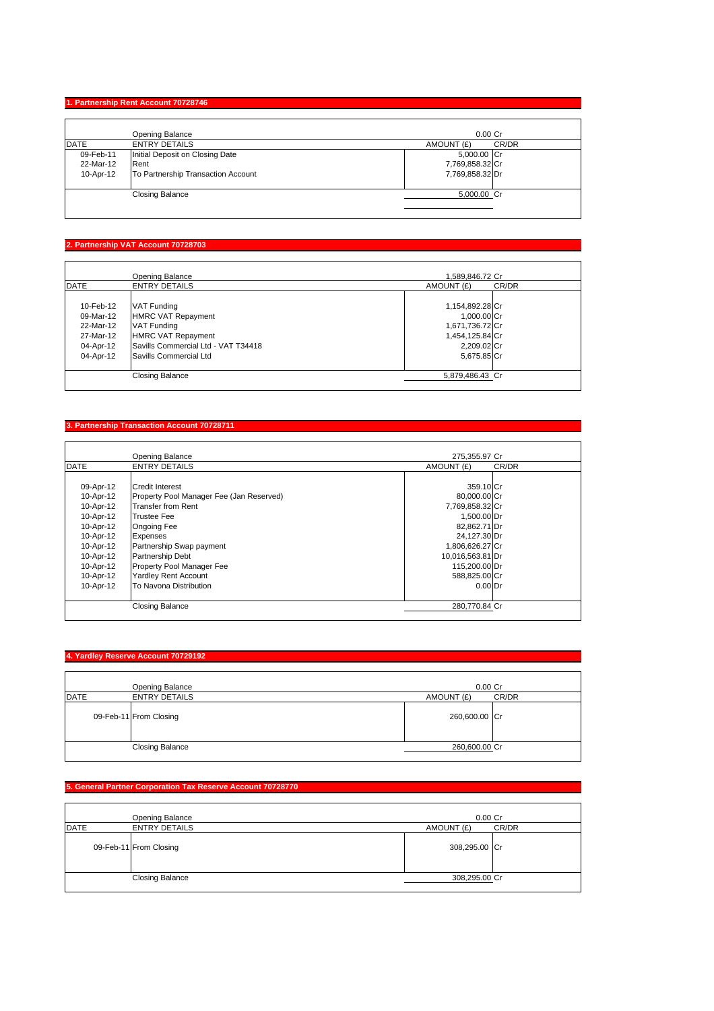## **1. Partnership Rent Account 70728746**

|             | <b>Opening Balance</b>             | $0.00$ Cr           |
|-------------|------------------------------------|---------------------|
| <b>DATE</b> | <b>ENTRY DETAILS</b>               | CR/DR<br>AMOUNT (£) |
| 09-Feb-11   | Initial Deposit on Closing Date    | 5,000.00 Cr         |
| 22-Mar-12   | Rent                               | 7,769,858.32 Cr     |
| 10-Apr-12   | To Partnership Transaction Account | 7,769,858.32 Dr     |
|             | <b>Closing Balance</b>             | 5,000.00 Cr         |

#### **2. Partnership VAT Account 70728703**

|             | Opening Balance                     | 1,589,846.72 Cr |       |
|-------------|-------------------------------------|-----------------|-------|
| <b>DATE</b> | <b>ENTRY DETAILS</b>                | AMOUNT (£)      | CR/DR |
|             |                                     |                 |       |
| 10-Feb-12   | <b>VAT Funding</b>                  | 1,154,892.28 Cr |       |
| 09-Mar-12   | <b>HMRC VAT Repayment</b>           | 1,000.00 Cr     |       |
| 22-Mar-12   | <b>VAT Funding</b>                  | 1,671,736.72 Cr |       |
| 27-Mar-12   | <b>HMRC VAT Repayment</b>           | 1,454,125.84 Cr |       |
| 04-Apr-12   | Savills Commercial Ltd - VAT T34418 | 2,209.02 Cr     |       |
| 04-Apr-12   | Savills Commercial Ltd              | 5,675.85 Cr     |       |
|             | Closing Balance                     | 5,879,486.43 Cr |       |

## **3. Partnership Transaction Account 70728711**

|             | <b>Opening Balance</b>                   | 275.355.97 Cr    |       |
|-------------|------------------------------------------|------------------|-------|
| <b>DATE</b> | <b>ENTRY DETAILS</b>                     | AMOUNT (£)       | CR/DR |
|             |                                          |                  |       |
| 09-Apr-12   | <b>Credit Interest</b>                   | 359.10 Cr        |       |
| 10-Apr-12   | Property Pool Manager Fee (Jan Reserved) | 80,000.00 Cr     |       |
| 10-Apr-12   | <b>Transfer from Rent</b>                | 7,769,858.32 Cr  |       |
| 10-Apr-12   | <b>Trustee Fee</b>                       | 1,500.00 Dr      |       |
| 10-Apr-12   | Ongoing Fee                              | 82,862.71 Dr     |       |
| 10-Apr-12   | Expenses                                 | 24,127.30 Dr     |       |
| 10-Apr-12   | Partnership Swap payment                 | 1,806,626.27 Cr  |       |
| 10-Apr-12   | <b>Partnership Debt</b>                  | 10,016,563.81 Dr |       |
| 10-Apr-12   | Property Pool Manager Fee                | 115,200.00 Dr    |       |
| 10-Apr-12   | <b>Yardley Rent Account</b>              | 588,825.00 Cr    |       |
| 10-Apr-12   | To Navona Distribution                   | $0.00$ Dr        |       |
|             | <b>Closing Balance</b>                   | 280,770.84 Cr    |       |

#### **4. Yardley Reserve Account 70729192**

|      | Opening Balance        | $0.00$ Cr     |       |
|------|------------------------|---------------|-------|
| DATE | <b>ENTRY DETAILS</b>   | AMOUNT (£)    | CR/DR |
|      | 09-Feb-11 From Closing | 260,600.00 Cr |       |
|      | <b>Closing Balance</b> | 260,600.00 Cr |       |

## **5. General Partner Corporation Tax Reserve Account 70728770**

| Opening Balance                     | $0.00$ Cr           |
|-------------------------------------|---------------------|
| <b>DATE</b><br><b>ENTRY DETAILS</b> | CR/DR<br>AMOUNT (£) |
| 09-Feb-11 From Closing              | 308,295.00 Cr       |
| <b>Closing Balance</b>              | 308,295.00 Cr       |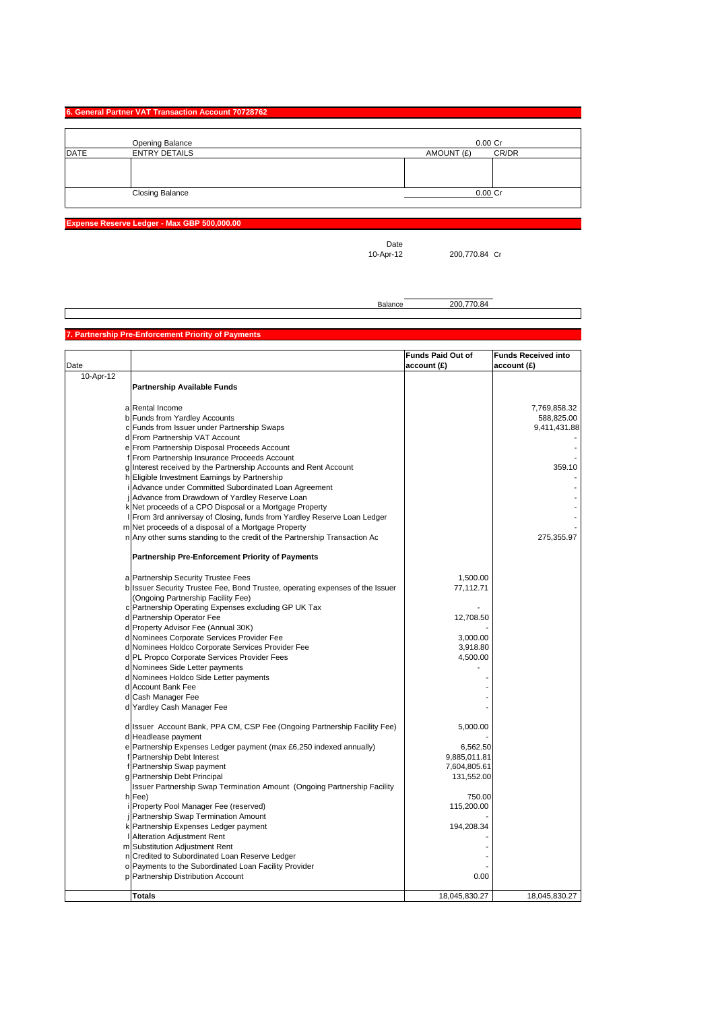## **6. General Partner VAT Transaction Account 70728762**

|             | Opening Balance        | $0.00$ Cr           |
|-------------|------------------------|---------------------|
| <b>DATE</b> | <b>ENTRY DETAILS</b>   | CR/DR<br>AMOUNT (£) |
|             |                        |                     |
|             |                        |                     |
|             |                        |                     |
|             | <b>Closing Balance</b> | $0.00$ Cr           |
|             |                        |                     |

**Expense Reserve Ledger - Max GBP 500,000.00**

Date<br>10-Apr-12

200,770.84 Cr

Balance 200,770.84

#### **Partnership Pre-Enforcement Priority of Payment**

| Date      |                                                                                 | <b>Funds Paid Out of</b><br>account(E) | <b>Funds Received into</b><br>account(E) |
|-----------|---------------------------------------------------------------------------------|----------------------------------------|------------------------------------------|
| 10-Apr-12 |                                                                                 |                                        |                                          |
|           | <b>Partnership Available Funds</b>                                              |                                        |                                          |
|           |                                                                                 |                                        |                                          |
|           | a Rental Income                                                                 |                                        | 7,769,858.32                             |
|           | b Funds from Yardley Accounts                                                   |                                        | 588,825.00                               |
|           | c Funds from Issuer under Partnership Swaps                                     |                                        | 9,411,431.88                             |
|           | d From Partnership VAT Account                                                  |                                        |                                          |
|           | e From Partnership Disposal Proceeds Account                                    |                                        |                                          |
|           | f From Partnership Insurance Proceeds Account                                   |                                        |                                          |
|           | g Interest received by the Partnership Accounts and Rent Account                |                                        | 359.10                                   |
|           | h Eligible Investment Earnings by Partnership                                   |                                        |                                          |
|           | i Advance under Committed Subordinated Loan Agreement                           |                                        |                                          |
|           | j Advance from Drawdown of Yardley Reserve Loan                                 |                                        |                                          |
|           | k Net proceeds of a CPO Disposal or a Mortgage Property                         |                                        |                                          |
|           | I From 3rd anniversay of Closing, funds from Yardley Reserve Loan Ledger        |                                        |                                          |
|           | m Net proceeds of a disposal of a Mortgage Property                             |                                        |                                          |
|           | n Any other sums standing to the credit of the Partnership Transaction Ac       |                                        | 275,355.97                               |
|           | Partnership Pre-Enforcement Priority of Payments                                |                                        |                                          |
|           |                                                                                 |                                        |                                          |
|           | a Partnership Security Trustee Fees                                             | 1,500.00                               |                                          |
|           | b Issuer Security Trustee Fee, Bond Trustee, operating expenses of the Issuer   | 77,112.71                              |                                          |
|           | (Ongoing Partnership Facility Fee)                                              |                                        |                                          |
|           | c Partnership Operating Expenses excluding GP UK Tax                            |                                        |                                          |
|           | d Partnership Operator Fee                                                      | 12,708.50                              |                                          |
|           | d Property Advisor Fee (Annual 30K)                                             |                                        |                                          |
|           | d Nominees Corporate Services Provider Fee                                      | 3,000.00                               |                                          |
|           | d Nominees Holdco Corporate Services Provider Fee                               | 3,918.80<br>4,500.00                   |                                          |
|           | d PL Propco Corporate Services Provider Fees<br>d Nominees Side Letter payments |                                        |                                          |
|           | d Nominees Holdco Side Letter payments                                          |                                        |                                          |
|           | d Account Bank Fee                                                              |                                        |                                          |
|           | d Cash Manager Fee                                                              |                                        |                                          |
|           | d Yardley Cash Manager Fee                                                      |                                        |                                          |
|           |                                                                                 |                                        |                                          |
|           | d Issuer Account Bank, PPA CM, CSP Fee (Ongoing Partnership Facility Fee)       | 5,000.00                               |                                          |
|           | d Headlease payment                                                             |                                        |                                          |
|           | e Partnership Expenses Ledger payment (max £6,250 indexed annually)             | 6,562.50                               |                                          |
|           | f Partnership Debt Interest                                                     | 9,885,011.81                           |                                          |
|           | f Partnership Swap payment                                                      | 7,604,805.61                           |                                          |
|           | g Partnership Debt Principal                                                    | 131,552.00                             |                                          |
|           | Issuer Partnership Swap Termination Amount (Ongoing Partnership Facility        |                                        |                                          |
|           | h Fee)                                                                          | 750.00                                 |                                          |
|           | i Property Pool Manager Fee (reserved)                                          | 115,200.00                             |                                          |
|           | j Partnership Swap Termination Amount                                           |                                        |                                          |
|           | k Partnership Expenses Ledger payment                                           | 194,208.34                             |                                          |
|           | Alteration Adjustment Rent                                                      |                                        |                                          |
|           | m Substitution Adjustment Rent                                                  |                                        |                                          |
|           | n Credited to Subordinated Loan Reserve Ledger                                  |                                        |                                          |
|           | o Payments to the Subordinated Loan Facility Provider                           |                                        |                                          |
|           | p Partnership Distribution Account                                              | 0.00                                   |                                          |
|           | <b>Totals</b>                                                                   | 18,045,830.27                          | 18,045,830.27                            |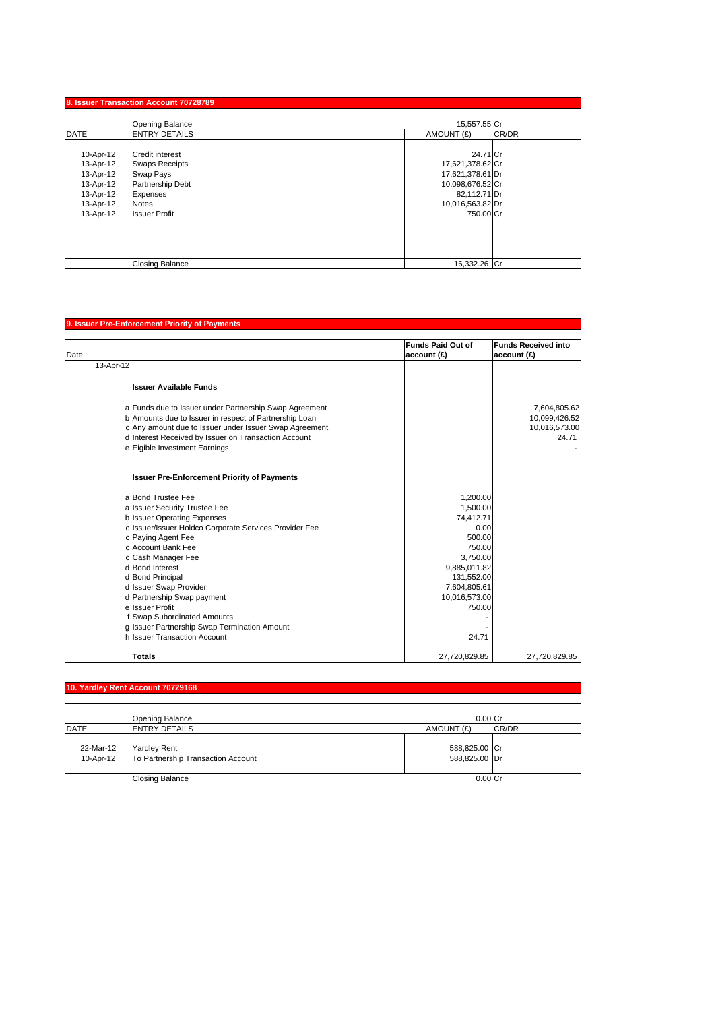## **8. Issuer Transaction Account 70728789**

|                                                                                         | Opening Balance                                                                                                                      | 15,557.55 Cr                                                                                                          |  |
|-----------------------------------------------------------------------------------------|--------------------------------------------------------------------------------------------------------------------------------------|-----------------------------------------------------------------------------------------------------------------------|--|
| DATE                                                                                    | <b>ENTRY DETAILS</b>                                                                                                                 | CR/DR<br>AMOUNT (£)                                                                                                   |  |
| 10-Apr-12<br>13-Apr-12<br>13-Apr-12<br>13-Apr-12<br>13-Apr-12<br>13-Apr-12<br>13-Apr-12 | <b>Credit interest</b><br><b>Swaps Receipts</b><br>Swap Pays<br>Partnership Debt<br>Expenses<br><b>Notes</b><br><b>Issuer Profit</b> | 24.71 Cr<br>17,621,378.62 Cr<br>17,621,378.61 Dr<br>10,098,676.52 Cr<br>82,112.71 Dr<br>10,016,563.82 Dr<br>750.00 Cr |  |
|                                                                                         | <b>Closing Balance</b>                                                                                                               | 16,332.26 Cr                                                                                                          |  |

# **9. Issuer Pre-Enforcement Priority of Payments**

| Date                                                                                                             | <b>Funds Paid Out of</b><br>account (£) | <b>Funds Received into</b><br>account (£) |
|------------------------------------------------------------------------------------------------------------------|-----------------------------------------|-------------------------------------------|
| 13-Apr-12                                                                                                        |                                         |                                           |
| <b>Issuer Available Funds</b>                                                                                    |                                         |                                           |
| a Funds due to Issuer under Partnership Swap Agreement<br>b Amounts due to Issuer in respect of Partnership Loan |                                         | 7,604,805.62<br>10,099,426.52             |
| c Any amount due to Issuer under Issuer Swap Agreement                                                           |                                         | 10,016,573.00                             |
| d Interest Received by Issuer on Transaction Account                                                             |                                         | 24.71                                     |
| e Eigible Investment Earnings                                                                                    |                                         |                                           |
| <b>Issuer Pre-Enforcement Priority of Payments</b>                                                               |                                         |                                           |
| a Bond Trustee Fee                                                                                               | 1,200.00                                |                                           |
| a Issuer Security Trustee Fee                                                                                    | 1,500.00                                |                                           |
| <b>b</b> Issuer Operating Expenses                                                                               | 74,412.71                               |                                           |
| c Issuer/Issuer Holdco Corporate Services Provider Fee                                                           | 0.00                                    |                                           |
| c Paying Agent Fee                                                                                               | 500.00                                  |                                           |
| cl Account Bank Fee                                                                                              | 750.00                                  |                                           |
| c Cash Manager Fee                                                                                               | 3,750.00                                |                                           |
| d Bond Interest                                                                                                  | 9,885,011.82                            |                                           |
| d Bond Principal                                                                                                 | 131,552.00                              |                                           |
| d Issuer Swap Provider                                                                                           | 7,604,805.61                            |                                           |
| d Partnership Swap payment<br>ellssuer Profit                                                                    | 10,016,573.00<br>750.00                 |                                           |
| Swap Subordinated Amounts                                                                                        |                                         |                                           |
| g Issuer Partnership Swap Termination Amount                                                                     |                                         |                                           |
| h Issuer Transaction Account                                                                                     | 24.71                                   |                                           |
| <b>Totals</b>                                                                                                    | 27,720,829.85                           | 27,720,829.85                             |

# **10. Yardley Rent Account 70729168**

|                        | Opening Balance                                           | $0.00$ Cr                      |       |
|------------------------|-----------------------------------------------------------|--------------------------------|-------|
| DATE                   | <b>ENTRY DETAILS</b>                                      | AMOUNT (£)                     | CR/DR |
| 22-Mar-12<br>10-Apr-12 | <b>Yardley Rent</b><br>To Partnership Transaction Account | 588,825.00 Cr<br>588,825.00 Dr |       |
|                        | <b>Closing Balance</b>                                    | $0.00$ Cr                      |       |
|                        |                                                           |                                |       |